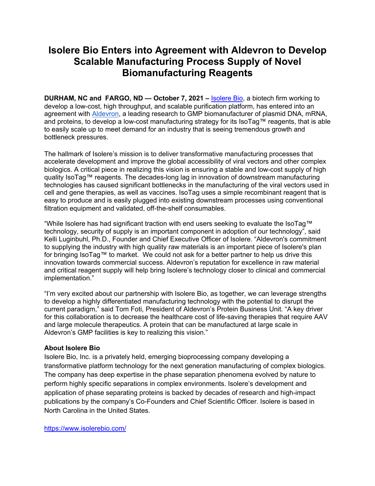# **Isolere Bio Enters into Agreement with Aldevron to Develop Scalable Manufacturing Process Supply of Novel Biomanufacturing Reagents**

**DURHAM, NC and FARGO, ND — October 7, 2021 –** Isolere Bio, a biotech firm working to develop a low-cost, high throughput, and scalable purification platform, has entered into an agreement with Aldevron, a leading research to GMP biomanufacturer of plasmid DNA, mRNA, and proteins, to develop a low-cost manufacturing strategy for its IsoTag™ reagents, that is able to easily scale up to meet demand for an industry that is seeing tremendous growth and bottleneck pressures.

The hallmark of Isolere's mission is to deliver transformative manufacturing processes that accelerate development and improve the global accessibility of viral vectors and other complex biologics. A critical piece in realizing this vision is ensuring a stable and low-cost supply of high quality IsoTag™ reagents. The decades-long lag in innovation of downstream manufacturing technologies has caused significant bottlenecks in the manufacturing of the viral vectors used in cell and gene therapies, as well as vaccines. IsoTag uses a simple recombinant reagent that is easy to produce and is easily plugged into existing downstream processes using conventional filtration equipment and validated, off-the-shelf consumables.

"While Isolere has had significant traction with end users seeking to evaluate the IsoTag™ technology, security of supply is an important component in adoption of our technology", said Kelli Luginbuhl, Ph.D., Founder and Chief Executive Officer of Isolere. "Aldevron's commitment to supplying the industry with high quality raw materials is an important piece of Isolere's plan for bringing IsoTag™ to market. We could not ask for a better partner to help us drive this innovation towards commercial success. Aldevron's reputation for excellence in raw material and critical reagent supply will help bring Isolere's technology closer to clinical and commercial implementation."

"I'm very excited about our partnership with Isolere Bio, as together, we can leverage strengths to develop a highly differentiated manufacturing technology with the potential to disrupt the current paradigm," said Tom Foti, President of Aldevron's Protein Business Unit. "A key driver for this collaboration is to decrease the healthcare cost of life-saving therapies that require AAV and large molecule therapeutics. A protein that can be manufactured at large scale in Aldevron's GMP facilities is key to realizing this vision."

## **About Isolere Bio**

Isolere Bio, Inc. is a privately held, emerging bioprocessing company developing a transformative platform technology for the next generation manufacturing of complex biologics. The company has deep expertise in the phase separation phenomena evolved by nature to perform highly specific separations in complex environments. Isolere's development and application of phase separating proteins is backed by decades of research and high-impact publications by the company's Co-Founders and Chief Scientific Officer. Isolere is based in North Carolina in the United States.

https://www.isolerebio.com/